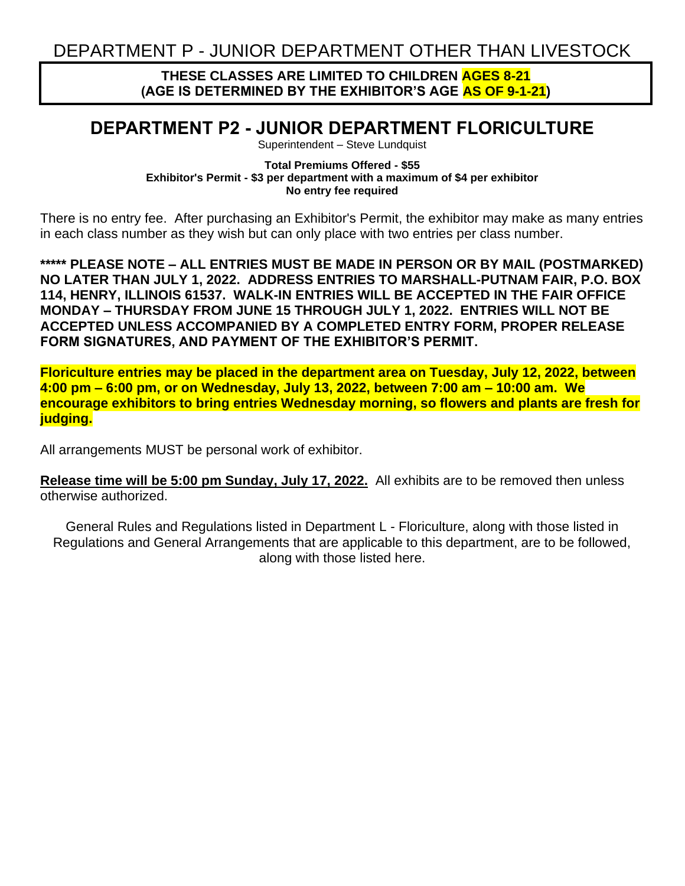## **THESE CLASSES ARE LIMITED TO CHILDREN AGES 8-21 (AGE IS DETERMINED BY THE EXHIBITOR'S AGE AS OF 9-1-21)**

## **DEPARTMENT P2 - JUNIOR DEPARTMENT FLORICULTURE**

Superintendent – Steve Lundquist

## **Total Premiums Offered - \$55 Exhibitor's Permit - \$3 per department with a maximum of \$4 per exhibitor No entry fee required**

There is no entry fee. After purchasing an Exhibitor's Permit, the exhibitor may make as many entries in each class number as they wish but can only place with two entries per class number.

**\*\*\*\*\* PLEASE NOTE – ALL ENTRIES MUST BE MADE IN PERSON OR BY MAIL (POSTMARKED) NO LATER THAN JULY 1, 2022. ADDRESS ENTRIES TO MARSHALL-PUTNAM FAIR, P.O. BOX 114, HENRY, ILLINOIS 61537. WALK-IN ENTRIES WILL BE ACCEPTED IN THE FAIR OFFICE MONDAY – THURSDAY FROM JUNE 15 THROUGH JULY 1, 2022. ENTRIES WILL NOT BE ACCEPTED UNLESS ACCOMPANIED BY A COMPLETED ENTRY FORM, PROPER RELEASE FORM SIGNATURES, AND PAYMENT OF THE EXHIBITOR'S PERMIT.**

**Floriculture entries may be placed in the department area on Tuesday, July 12, 2022, between 4:00 pm – 6:00 pm, or on Wednesday, July 13, 2022, between 7:00 am – 10:00 am. We encourage exhibitors to bring entries Wednesday morning, so flowers and plants are fresh for judging.**

All arrangements MUST be personal work of exhibitor.

**Release time will be 5:00 pm Sunday, July 17, 2022.** All exhibits are to be removed then unless otherwise authorized.

General Rules and Regulations listed in Department L - Floriculture, along with those listed in Regulations and General Arrangements that are applicable to this department, are to be followed, along with those listed here.